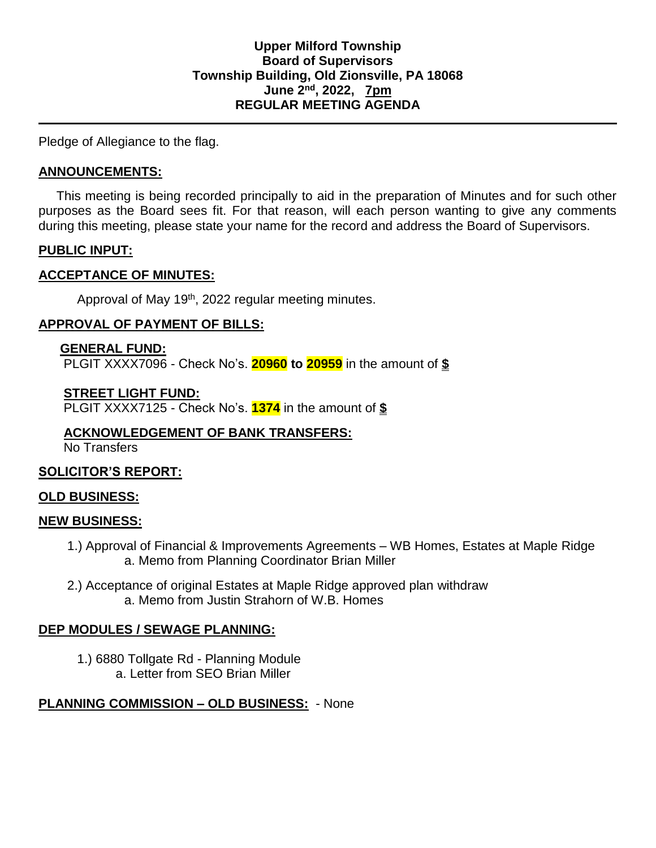Pledge of Allegiance to the flag.

### **ANNOUNCEMENTS:**

 This meeting is being recorded principally to aid in the preparation of Minutes and for such other purposes as the Board sees fit. For that reason, will each person wanting to give any comments during this meeting, please state your name for the record and address the Board of Supervisors.

### **PUBLIC INPUT:**

### **ACCEPTANCE OF MINUTES:**

Approval of May 19<sup>th</sup>, 2022 regular meeting minutes.

# **APPROVAL OF PAYMENT OF BILLS:**

#### **GENERAL FUND:** PLGIT XXXX7096 - Check No's. **20960 to 20959** in the amount of **\$**

### **STREET LIGHT FUND:**

PLGIT XXXX7125 - Check No's. **1374** in the amount of **\$**

# **ACKNOWLEDGEMENT OF BANK TRANSFERS:**

No Transfers

# **SOLICITOR'S REPORT:**

# **OLD BUSINESS:**

#### **NEW BUSINESS:**

- 1.) Approval of Financial & Improvements Agreements WB Homes, Estates at Maple Ridge a. Memo from Planning Coordinator Brian Miller
- 2.) Acceptance of original Estates at Maple Ridge approved plan withdraw a. Memo from Justin Strahorn of W.B. Homes

#### **DEP MODULES / SEWAGE PLANNING:**

1.) 6880 Tollgate Rd - Planning Module a. Letter from SEO Brian Miller

# **PLANNING COMMISSION – OLD BUSINESS:** - None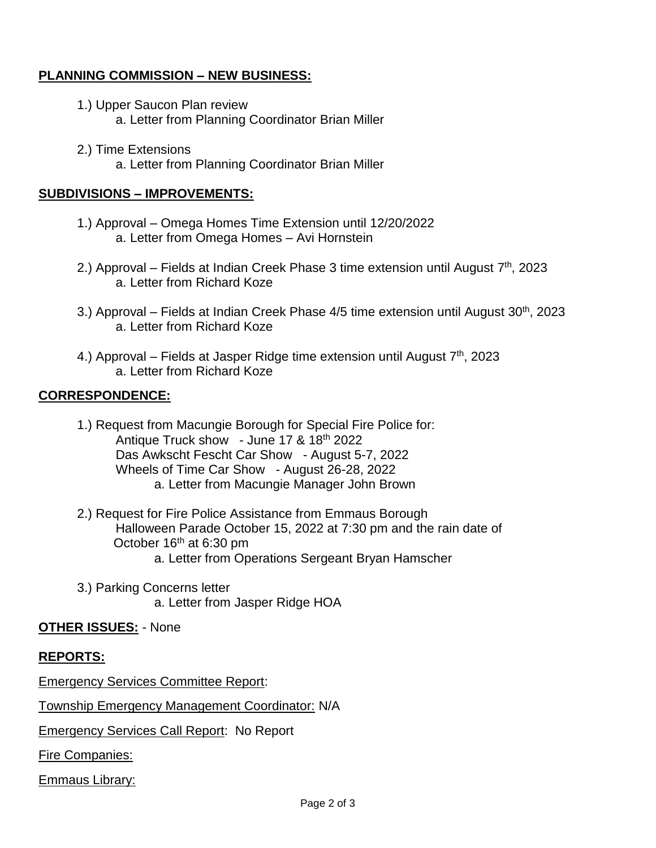# **PLANNING COMMISSION – NEW BUSINESS:**

- 1.) Upper Saucon Plan review a. Letter from Planning Coordinator Brian Miller
- 2.) Time Extensions a. Letter from Planning Coordinator Brian Miller

### **SUBDIVISIONS – IMPROVEMENTS:**

- 1.) Approval Omega Homes Time Extension until 12/20/2022 a. Letter from Omega Homes – Avi Hornstein
- 2.) Approval Fields at Indian Creek Phase 3 time extension until August 7<sup>th</sup>, 2023 a. Letter from Richard Koze
- 3.) Approval Fields at Indian Creek Phase 4/5 time extension until August 30<sup>th</sup>, 2023 a. Letter from Richard Koze
- 4.) Approval Fields at Jasper Ridge time extension until August 7<sup>th</sup>, 2023 a. Letter from Richard Koze

# **CORRESPONDENCE:**

- 1.) Request from Macungie Borough for Special Fire Police for: Antique Truck show - June 17 & 18<sup>th</sup> 2022 Das Awkscht Fescht Car Show - August 5-7, 2022 Wheels of Time Car Show - August 26-28, 2022 a. Letter from Macungie Manager John Brown
- 2.) Request for Fire Police Assistance from Emmaus Borough Halloween Parade October 15, 2022 at 7:30 pm and the rain date of October 16<sup>th</sup> at 6:30 pm a. Letter from Operations Sergeant Bryan Hamscher
- 3.) Parking Concerns letter a. Letter from Jasper Ridge HOA

# **OTHER ISSUES:** - None

# **REPORTS:**

Emergency Services Committee Report:

Township Emergency Management Coordinator: N/A

Emergency Services Call Report: No Report

Fire Companies:

Emmaus Library: